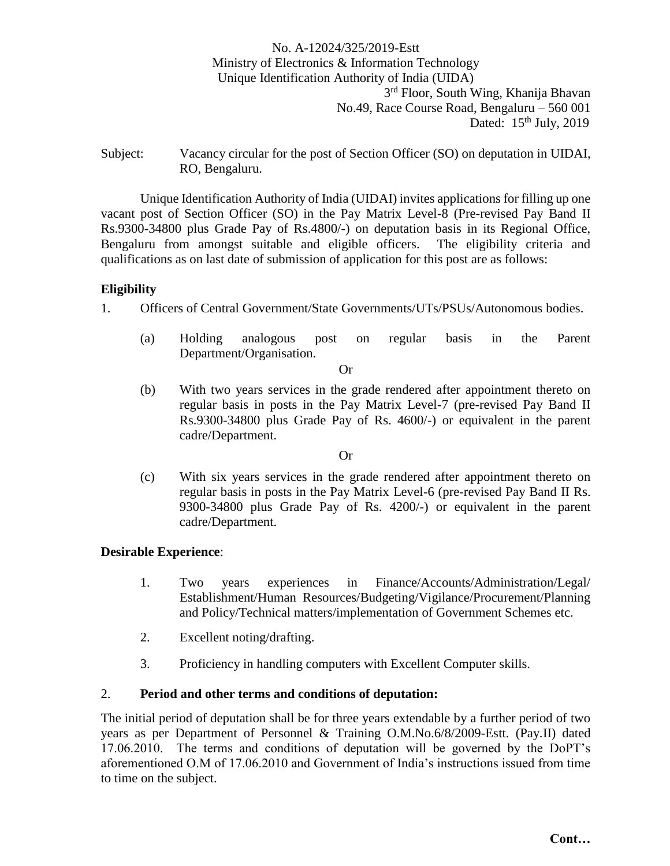### No. A-12024/325/2019-Estt Ministry of Electronics & Information Technology Unique Identification Authority of India (UIDA) 3<sup>rd</sup> Floor, South Wing, Khanija Bhavan No.49, Race Course Road, Bengaluru – 560 001 Dated: 15<sup>th</sup> July, 2019

Subject: Vacancy circular for the post of Section Officer (SO) on deputation in UIDAI, RO, Bengaluru.

Unique Identification Authority of India (UIDAI) invites applications for filling up one vacant post of Section Officer (SO) in the Pay Matrix Level-8 (Pre-revised Pay Band II Rs.9300-34800 plus Grade Pay of Rs.4800/-) on deputation basis in its Regional Office, Bengaluru from amongst suitable and eligible officers. The eligibility criteria and qualifications as on last date of submission of application for this post are as follows:

#### **Eligibility**

1. Officers of Central Government/State Governments/UTs/PSUs/Autonomous bodies.

(a) Holding analogous post on regular basis in the Parent Department/Organisation.

Or

(b) With two years services in the grade rendered after appointment thereto on regular basis in posts in the Pay Matrix Level-7 (pre-revised Pay Band II Rs.9300-34800 plus Grade Pay of Rs. 4600/-) or equivalent in the parent cadre/Department.

#### Or

(c) With six years services in the grade rendered after appointment thereto on regular basis in posts in the Pay Matrix Level-6 (pre-revised Pay Band II Rs. 9300-34800 plus Grade Pay of Rs. 4200/-) or equivalent in the parent cadre/Department.

#### **Desirable Experience**:

- 1. Two years experiences in Finance/Accounts/Administration/Legal/ Establishment/Human Resources/Budgeting/Vigilance/Procurement/Planning and Policy/Technical matters/implementation of Government Schemes etc.
- 2. Excellent noting/drafting.
- 3. Proficiency in handling computers with Excellent Computer skills.

#### 2. **Period and other terms and conditions of deputation:**

The initial period of deputation shall be for three years extendable by a further period of two years as per Department of Personnel & Training O.M.No.6/8/2009-Estt. (Pay.II) dated 17.06.2010. The terms and conditions of deputation will be governed by the DoPT's aforementioned O.M of 17.06.2010 and Government of India's instructions issued from time to time on the subject.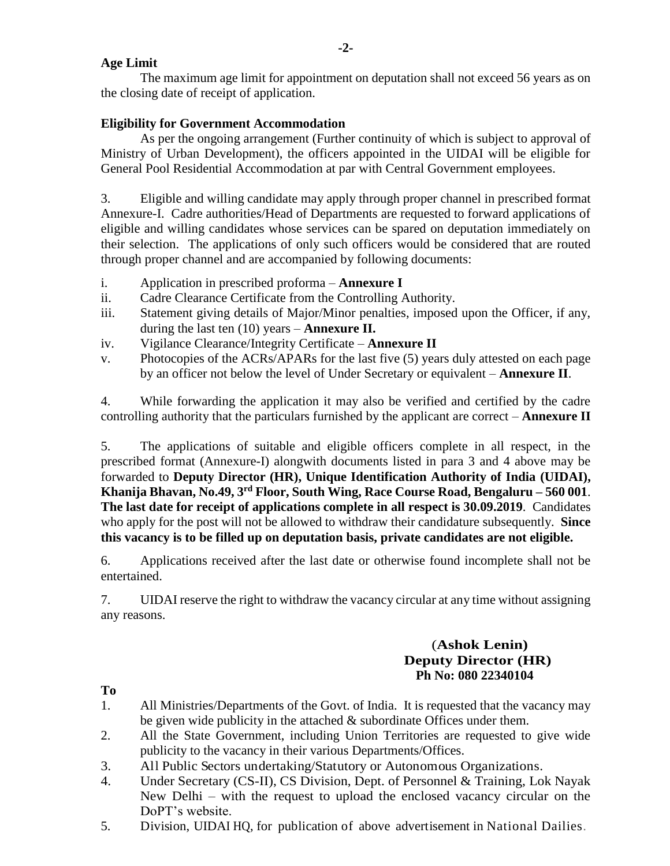### **Age Limit**

The maximum age limit for appointment on deputation shall not exceed 56 years as on the closing date of receipt of application.

# **Eligibility for Government Accommodation**

As per the ongoing arrangement (Further continuity of which is subject to approval of Ministry of Urban Development), the officers appointed in the UIDAI will be eligible for General Pool Residential Accommodation at par with Central Government employees.

3. Eligible and willing candidate may apply through proper channel in prescribed format Annexure-I. Cadre authorities/Head of Departments are requested to forward applications of eligible and willing candidates whose services can be spared on deputation immediately on their selection. The applications of only such officers would be considered that are routed through proper channel and are accompanied by following documents:

- i. Application in prescribed proforma **Annexure I**
- ii. Cadre Clearance Certificate from the Controlling Authority.
- iii. Statement giving details of Major/Minor penalties, imposed upon the Officer, if any, during the last ten (10) years – **Annexure II.**
- iv. Vigilance Clearance/Integrity Certificate **Annexure II**
- v. Photocopies of the ACRs/APARs for the last five (5) years duly attested on each page by an officer not below the level of Under Secretary or equivalent – **Annexure II**.

4. While forwarding the application it may also be verified and certified by the cadre controlling authority that the particulars furnished by the applicant are correct – **Annexure II**

5. The applications of suitable and eligible officers complete in all respect, in the prescribed format (Annexure-I) alongwith documents listed in para 3 and 4 above may be forwarded to **Deputy Director (HR), Unique Identification Authority of India (UIDAI), Khanija Bhavan, No.49, 3rd Floor, South Wing, Race Course Road, Bengaluru – 560 001**. **The last date for receipt of applications complete in all respect is 30.09.2019**. Candidates who apply for the post will not be allowed to withdraw their candidature subsequently. **Since this vacancy is to be filled up on deputation basis, private candidates are not eligible.** 

6. Applications received after the last date or otherwise found incomplete shall not be entertained.

7. UIDAI reserve the right to withdraw the vacancy circular at any time without assigning any reasons.

### (**Ashok Lenin) Deputy Director (HR) Ph No: 080 22340104**

**To**

- 1. All Ministries/Departments of the Govt. of India. It is requested that the vacancy may be given wide publicity in the attached  $\&$  subordinate Offices under them.
- 2. All the State Government, including Union Territories are requested to give wide publicity to the vacancy in their various Departments/Offices.
- 3. All Public Sectors undertaking/Statutory or Autonomous Organizations.
- 4. Under Secretary (CS-II), CS Division, Dept. of Personnel & Training, Lok Nayak New Delhi – with the request to upload the enclosed vacancy circular on the DoPT's website.
- 5. Division, UIDAI HQ, for publication of above advertisement in National Dailies.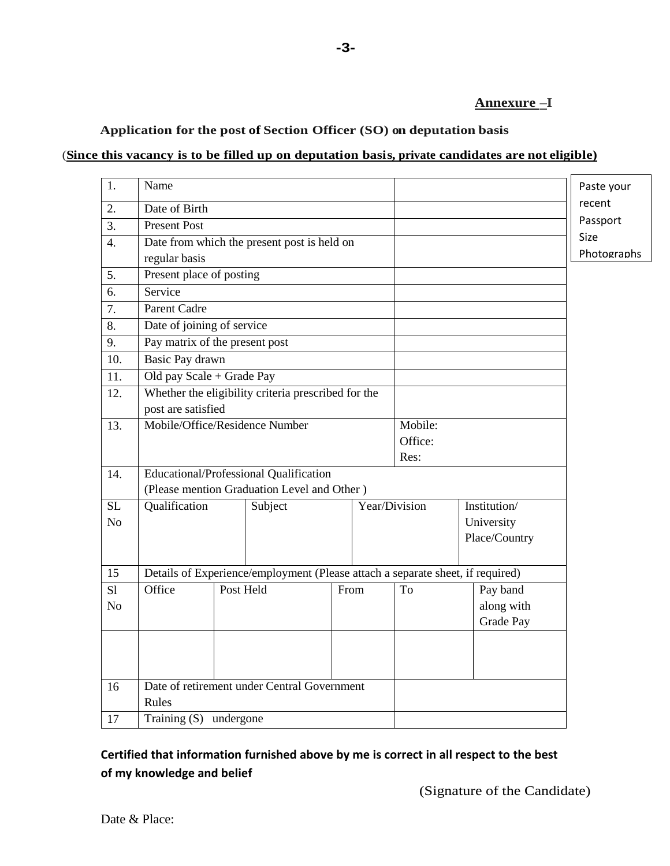### **Annexure –I**

### **Application for the post of Section Officer (SO) on deputation basis**

#### (**Since this vacancy is to be filled up on deputation basis, private candidates are not eligible)**

| 1.             | Name                                                                           | Paste your |  |  |      |                    |               |             |
|----------------|--------------------------------------------------------------------------------|------------|--|--|------|--------------------|---------------|-------------|
| 2.             | Date of Birth                                                                  | recent     |  |  |      |                    |               |             |
| 3.             | <b>Present Post</b>                                                            | Passport   |  |  |      |                    |               |             |
| 4.             | Date from which the present post is held on                                    |            |  |  |      |                    |               | Size        |
|                | regular basis                                                                  |            |  |  |      |                    |               | Photographs |
| 5.             | Present place of posting                                                       |            |  |  |      |                    |               |             |
| 6.             | Service                                                                        |            |  |  |      |                    |               |             |
| 7.             | Parent Cadre                                                                   |            |  |  |      |                    |               |             |
| 8.             | Date of joining of service                                                     |            |  |  |      |                    |               |             |
| 9.             | Pay matrix of the present post                                                 |            |  |  |      |                    |               |             |
| 10.            | Basic Pay drawn                                                                |            |  |  |      |                    |               |             |
| 11.            | Old pay Scale + Grade Pay                                                      |            |  |  |      |                    |               |             |
| 12.            | Whether the eligibility criteria prescribed for the                            |            |  |  |      |                    |               |             |
|                | post are satisfied                                                             |            |  |  |      |                    |               |             |
| 13.            | Mobile/Office/Residence Number                                                 |            |  |  |      | Mobile:<br>Office: |               |             |
|                |                                                                                |            |  |  |      | Res:               |               |             |
| 14.            | <b>Educational/Professional Qualification</b>                                  |            |  |  |      |                    |               |             |
|                | (Please mention Graduation Level and Other)                                    |            |  |  |      |                    |               |             |
| <b>SL</b>      | Year/Division<br>Qualification<br>Institution/<br>Subject                      |            |  |  |      |                    |               |             |
| N <sub>o</sub> |                                                                                |            |  |  |      | University         |               |             |
|                |                                                                                |            |  |  |      |                    | Place/Country |             |
|                |                                                                                |            |  |  |      |                    |               |             |
| 15             | Details of Experience/employment (Please attach a separate sheet, if required) |            |  |  |      |                    |               |             |
| S1             | Office                                                                         | Post Held  |  |  | From | To                 | Pay band      |             |
| N <sub>o</sub> |                                                                                |            |  |  |      |                    | along with    |             |
|                |                                                                                |            |  |  |      |                    | Grade Pay     |             |
|                |                                                                                |            |  |  |      |                    |               |             |
|                |                                                                                |            |  |  |      |                    |               |             |
|                |                                                                                |            |  |  |      |                    |               |             |
| 16             | Date of retirement under Central Government                                    |            |  |  |      |                    |               |             |
|                | Rules                                                                          |            |  |  |      |                    |               |             |
| 17             | Training (S) undergone                                                         |            |  |  |      |                    |               |             |

# **Certified that information furnished above by me is correct in all respect to the best of my knowledge and belief**

(Signature of the Candidate)